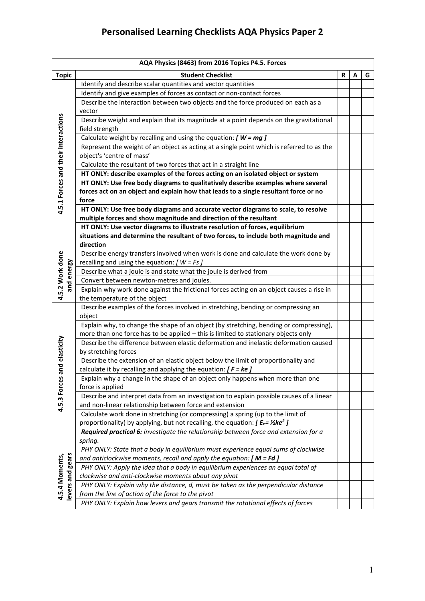| AQA Physics (8463) from 2016 Topics P4.5. Forces |                                                                                                                                                     |   |   |   |
|--------------------------------------------------|-----------------------------------------------------------------------------------------------------------------------------------------------------|---|---|---|
| <b>Topic</b>                                     | <b>Student Checklist</b>                                                                                                                            | R | А | G |
|                                                  | Identify and describe scalar quantities and vector quantities                                                                                       |   |   |   |
|                                                  | Identify and give examples of forces as contact or non-contact forces                                                                               |   |   |   |
|                                                  | Describe the interaction between two objects and the force produced on each as a                                                                    |   |   |   |
|                                                  | vector                                                                                                                                              |   |   |   |
|                                                  | Describe weight and explain that its magnitude at a point depends on the gravitational                                                              |   |   |   |
|                                                  | field strength                                                                                                                                      |   |   |   |
|                                                  | Calculate weight by recalling and using the equation: $[ W = mg ]$                                                                                  |   |   |   |
|                                                  | Represent the weight of an object as acting at a single point which is referred to as the                                                           |   |   |   |
|                                                  | object's 'centre of mass'                                                                                                                           |   |   |   |
|                                                  | Calculate the resultant of two forces that act in a straight line                                                                                   |   |   |   |
|                                                  | HT ONLY: describe examples of the forces acting on an isolated object or system                                                                     |   |   |   |
|                                                  | HT ONLY: Use free body diagrams to qualitatively describe examples where several                                                                    |   |   |   |
|                                                  | forces act on an object and explain how that leads to a single resultant force or no                                                                |   |   |   |
| 4.5.1 Forces and their interactions              | force                                                                                                                                               |   |   |   |
|                                                  | HT ONLY: Use free body diagrams and accurate vector diagrams to scale, to resolve                                                                   |   |   |   |
|                                                  | multiple forces and show magnitude and direction of the resultant                                                                                   |   |   |   |
|                                                  | HT ONLY: Use vector diagrams to illustrate resolution of forces, equilibrium                                                                        |   |   |   |
|                                                  | situations and determine the resultant of two forces, to include both magnitude and                                                                 |   |   |   |
|                                                  | direction                                                                                                                                           |   |   |   |
|                                                  | Describe energy transfers involved when work is done and calculate the work done by                                                                 |   |   |   |
|                                                  | recalling and using the equation: $[ W = Fs ]$                                                                                                      |   |   |   |
| and energy                                       | Describe what a joule is and state what the joule is derived from                                                                                   |   |   |   |
|                                                  | Convert between newton-metres and joules.                                                                                                           |   |   |   |
| 4.5.2 Work done                                  | Explain why work done against the frictional forces acting on an object causes a rise in                                                            |   |   |   |
|                                                  | the temperature of the object                                                                                                                       |   |   |   |
|                                                  | Describe examples of the forces involved in stretching, bending or compressing an                                                                   |   |   |   |
|                                                  | object                                                                                                                                              |   |   |   |
|                                                  | Explain why, to change the shape of an object (by stretching, bending or compressing),                                                              |   |   |   |
|                                                  | more than one force has to be applied - this is limited to stationary objects only                                                                  |   |   |   |
| and elasticity                                   | Describe the difference between elastic deformation and inelastic deformation caused                                                                |   |   |   |
|                                                  | by stretching forces                                                                                                                                |   |   |   |
|                                                  | Describe the extension of an elastic object below the limit of proportionality and                                                                  |   |   |   |
|                                                  | calculate it by recalling and applying the equation: $[ F = ke ]$<br>Explain why a change in the shape of an object only happens when more than one |   |   |   |
| 4.5.3 Forces                                     | force is applied                                                                                                                                    |   |   |   |
|                                                  | Describe and interpret data from an investigation to explain possible causes of a linear                                                            |   |   |   |
|                                                  | and non-linear relationship between force and extension                                                                                             |   |   |   |
|                                                  | Calculate work done in stretching (or compressing) a spring (up to the limit of                                                                     |   |   |   |
|                                                  | proportionality) by applying, but not recalling, the equation: $[ E_e = \frac{1}{2} \text{ke}^2 ]$                                                  |   |   |   |
|                                                  | Required practical 6: investigate the relationship between force and extension for a                                                                |   |   |   |
|                                                  | spring.                                                                                                                                             |   |   |   |
|                                                  | PHY ONLY: State that a body in equilibrium must experience equal sums of clockwise                                                                  |   |   |   |
|                                                  | and anticlockwise moments, recall and apply the equation: $[M = Fd]$                                                                                |   |   |   |
|                                                  | PHY ONLY: Apply the idea that a body in equilibrium experiences an equal total of                                                                   |   |   |   |
|                                                  | clockwise and anti-clockwise moments about any pivot                                                                                                |   |   |   |
|                                                  | PHY ONLY: Explain why the distance, d, must be taken as the perpendicular distance                                                                  |   |   |   |
| levers and gears<br>4.5.4 Moments,               | from the line of action of the force to the pivot                                                                                                   |   |   |   |
|                                                  | PHY ONLY: Explain how levers and gears transmit the rotational effects of forces                                                                    |   |   |   |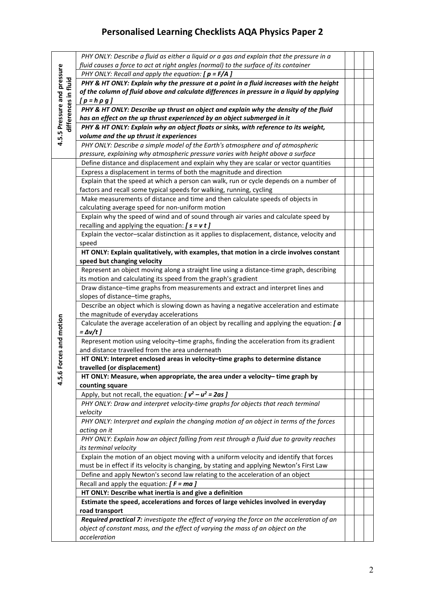| 4.5.5 Pressure and pressure<br>differences in fluid | PHY ONLY: Describe a fluid as either a liquid or a gas and explain that the pressure in a                  |  |  |
|-----------------------------------------------------|------------------------------------------------------------------------------------------------------------|--|--|
|                                                     | fluid causes a force to act at right angles (normal) to the surface of its container                       |  |  |
|                                                     | PHY ONLY: Recall and apply the equation: $[p = F/A]$                                                       |  |  |
|                                                     | PHY & HT ONLY: Explain why the pressure at a point in a fluid increases with the height                    |  |  |
|                                                     | of the column of fluid above and calculate differences in pressure in a liquid by applying                 |  |  |
|                                                     | $[p = h \rho g]$                                                                                           |  |  |
|                                                     | PHY & HT ONLY: Describe up thrust an object and explain why the density of the fluid                       |  |  |
|                                                     | has an effect on the up thrust experienced by an object submerged in it                                    |  |  |
|                                                     | PHY & HT ONLY: Explain why an object floats or sinks, with reference to its weight,                        |  |  |
|                                                     | volume and the up thrust it experiences                                                                    |  |  |
|                                                     | PHY ONLY: Describe a simple model of the Earth's atmosphere and of atmospheric                             |  |  |
|                                                     | pressure, explaining why atmospheric pressure varies with height above a surface                           |  |  |
|                                                     | Define distance and displacement and explain why they are scalar or vector quantities                      |  |  |
|                                                     | Express a displacement in terms of both the magnitude and direction                                        |  |  |
|                                                     | Explain that the speed at which a person can walk, run or cycle depends on a number of                     |  |  |
|                                                     | factors and recall some typical speeds for walking, running, cycling                                       |  |  |
|                                                     | Make measurements of distance and time and then calculate speeds of objects in                             |  |  |
|                                                     | calculating average speed for non-uniform motion                                                           |  |  |
|                                                     | Explain why the speed of wind and of sound through air varies and calculate speed by                       |  |  |
|                                                     | recalling and applying the equation: $[s = v t]$                                                           |  |  |
|                                                     | Explain the vector-scalar distinction as it applies to displacement, distance, velocity and                |  |  |
|                                                     | speed                                                                                                      |  |  |
|                                                     | HT ONLY: Explain qualitatively, with examples, that motion in a circle involves constant                   |  |  |
|                                                     | speed but changing velocity                                                                                |  |  |
|                                                     | Represent an object moving along a straight line using a distance-time graph, describing                   |  |  |
|                                                     | its motion and calculating its speed from the graph's gradient                                             |  |  |
|                                                     | Draw distance-time graphs from measurements and extract and interpret lines and                            |  |  |
|                                                     | slopes of distance-time graphs,                                                                            |  |  |
|                                                     | Describe an object which is slowing down as having a negative acceleration and estimate                    |  |  |
|                                                     | the magnitude of everyday accelerations                                                                    |  |  |
|                                                     | Calculate the average acceleration of an object by recalling and applying the equation: $\int a$           |  |  |
|                                                     | $=\Delta v/t$ ]                                                                                            |  |  |
|                                                     | Represent motion using velocity-time graphs, finding the acceleration from its gradient                    |  |  |
|                                                     | and distance travelled from the area underneath                                                            |  |  |
| Forces and motion                                   | HT ONLY: Interpret enclosed areas in velocity-time graphs to determine distance                            |  |  |
|                                                     | travelled (or displacement)<br>HT ONLY: Measure, when appropriate, the area under a velocity-time graph by |  |  |
| 4.5.6                                               | counting square                                                                                            |  |  |
|                                                     | Apply, but not recall, the equation: $[v^2 - u^2 = 2as]$                                                   |  |  |
|                                                     | PHY ONLY: Draw and interpret velocity-time graphs for objects that reach terminal                          |  |  |
|                                                     | velocity                                                                                                   |  |  |
|                                                     | PHY ONLY: Interpret and explain the changing motion of an object in terms of the forces                    |  |  |
|                                                     | acting on it                                                                                               |  |  |
|                                                     | PHY ONLY: Explain how an object falling from rest through a fluid due to gravity reaches                   |  |  |
|                                                     | its terminal velocity                                                                                      |  |  |
|                                                     | Explain the motion of an object moving with a uniform velocity and identify that forces                    |  |  |
|                                                     | must be in effect if its velocity is changing, by stating and applying Newton's First Law                  |  |  |
|                                                     | Define and apply Newton's second law relating to the acceleration of an object                             |  |  |
|                                                     | Recall and apply the equation: $[ F = ma ]$                                                                |  |  |
|                                                     | HT ONLY: Describe what inertia is and give a definition                                                    |  |  |
|                                                     | Estimate the speed, accelerations and forces of large vehicles involved in everyday                        |  |  |
|                                                     | road transport                                                                                             |  |  |
|                                                     | Required practical 7: investigate the effect of varying the force on the acceleration of an                |  |  |
|                                                     | object of constant mass, and the effect of varying the mass of an object on the                            |  |  |
|                                                     | acceleration                                                                                               |  |  |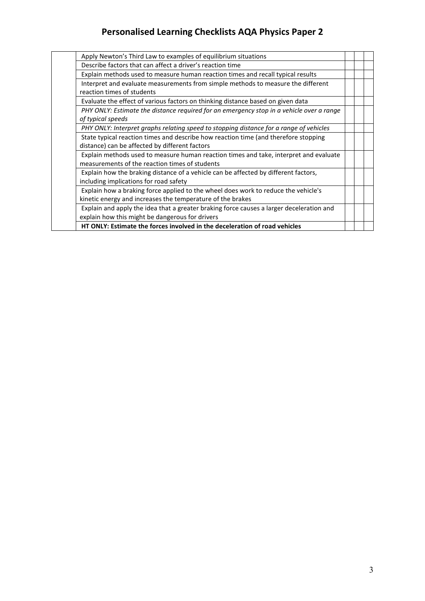| Apply Newton's Third Law to examples of equilibrium situations                           |  |  |
|------------------------------------------------------------------------------------------|--|--|
| Describe factors that can affect a driver's reaction time                                |  |  |
| Explain methods used to measure human reaction times and recall typical results          |  |  |
| Interpret and evaluate measurements from simple methods to measure the different         |  |  |
| reaction times of students                                                               |  |  |
| Evaluate the effect of various factors on thinking distance based on given data          |  |  |
| PHY ONLY: Estimate the distance required for an emergency stop in a vehicle over a range |  |  |
| of typical speeds                                                                        |  |  |
| PHY ONLY: Interpret graphs relating speed to stopping distance for a range of vehicles   |  |  |
| State typical reaction times and describe how reaction time (and therefore stopping      |  |  |
| distance) can be affected by different factors                                           |  |  |
| Explain methods used to measure human reaction times and take, interpret and evaluate    |  |  |
| measurements of the reaction times of students                                           |  |  |
| Explain how the braking distance of a vehicle can be affected by different factors,      |  |  |
| including implications for road safety                                                   |  |  |
| Explain how a braking force applied to the wheel does work to reduce the vehicle's       |  |  |
| kinetic energy and increases the temperature of the brakes                               |  |  |
| Explain and apply the idea that a greater braking force causes a larger deceleration and |  |  |
| explain how this might be dangerous for drivers                                          |  |  |
| HT ONLY: Estimate the forces involved in the deceleration of road vehicles               |  |  |
|                                                                                          |  |  |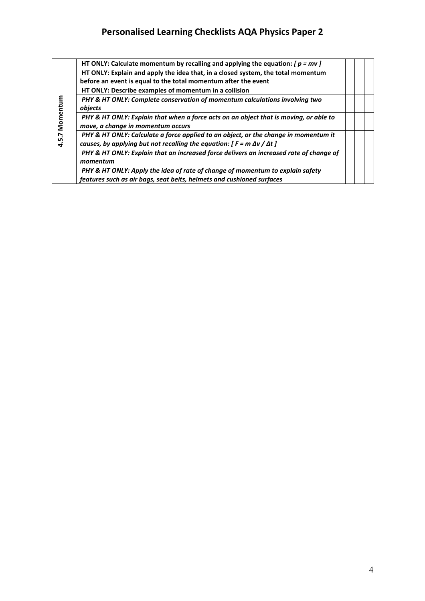|                | HT ONLY: Calculate momentum by recalling and applying the equation: $[p = mv]$         |  |  |
|----------------|----------------------------------------------------------------------------------------|--|--|
|                | HT ONLY: Explain and apply the idea that, in a closed system, the total momentum       |  |  |
|                | before an event is equal to the total momentum after the event                         |  |  |
|                | HT ONLY: Describe examples of momentum in a collision                                  |  |  |
|                | PHY & HT ONLY: Complete conservation of momentum calculations involving two            |  |  |
|                | objects                                                                                |  |  |
| Momentum       | PHY & HT ONLY: Explain that when a force acts on an object that is moving, or able to  |  |  |
|                | move, a change in momentum occurs                                                      |  |  |
| r.             | PHY & HT ONLY: Calculate a force applied to an object, or the change in momentum it    |  |  |
| $\frac{15}{4}$ | causes, by applying but not recalling the equation: $[F = m \Delta v / \Delta t]$      |  |  |
|                | PHY & HT ONLY: Explain that an increased force delivers an increased rate of change of |  |  |
|                | momentum                                                                               |  |  |
|                | PHY & HT ONLY: Apply the idea of rate of change of momentum to explain safety          |  |  |
|                | features such as air bags, seat belts, helmets and cushioned surfaces                  |  |  |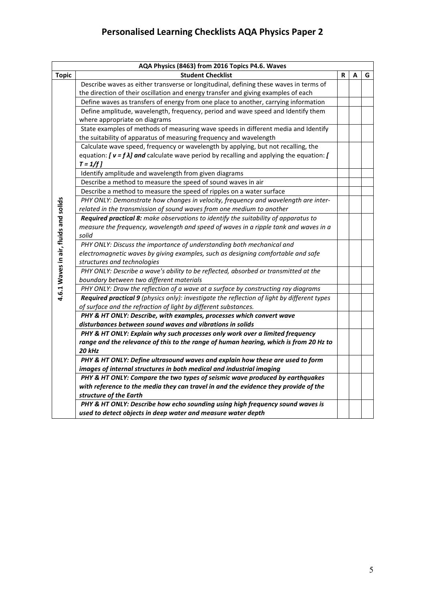|                                       | AQA Physics (8463) from 2016 Topics P4.6. Waves                                                   |    |   |   |
|---------------------------------------|---------------------------------------------------------------------------------------------------|----|---|---|
| <b>Topic</b>                          | <b>Student Checklist</b>                                                                          | R. | A | G |
|                                       | Describe waves as either transverse or longitudinal, defining these waves in terms of             |    |   |   |
|                                       | the direction of their oscillation and energy transfer and giving examples of each                |    |   |   |
|                                       | Define waves as transfers of energy from one place to another, carrying information               |    |   |   |
|                                       | Define amplitude, wavelength, frequency, period and wave speed and Identify them                  |    |   |   |
|                                       | where appropriate on diagrams                                                                     |    |   |   |
|                                       | State examples of methods of measuring wave speeds in different media and Identify                |    |   |   |
|                                       | the suitability of apparatus of measuring frequency and wavelength                                |    |   |   |
|                                       | Calculate wave speed, frequency or wavelength by applying, but not recalling, the                 |    |   |   |
|                                       | equation: $[\nu = f \lambda]$ and calculate wave period by recalling and applying the equation: [ |    |   |   |
|                                       | $T = 1/f$                                                                                         |    |   |   |
|                                       | Identify amplitude and wavelength from given diagrams                                             |    |   |   |
|                                       | Describe a method to measure the speed of sound waves in air                                      |    |   |   |
|                                       | Describe a method to measure the speed of ripples on a water surface                              |    |   |   |
|                                       | PHY ONLY: Demonstrate how changes in velocity, frequency and wavelength are inter-                |    |   |   |
|                                       | related in the transmission of sound waves from one medium to another                             |    |   |   |
|                                       | Required practical 8: make observations to identify the suitability of apparatus to               |    |   |   |
|                                       | measure the frequency, wavelength and speed of waves in a ripple tank and waves in a              |    |   |   |
| 4.6.1 Waves in air, fluids and solids | solid                                                                                             |    |   |   |
|                                       | PHY ONLY: Discuss the importance of understanding both mechanical and                             |    |   |   |
|                                       | electromagnetic waves by giving examples, such as designing comfortable and safe                  |    |   |   |
|                                       | structures and technologies                                                                       |    |   |   |
|                                       | PHY ONLY: Describe a wave's ability to be reflected, absorbed or transmitted at the               |    |   |   |
|                                       | boundary between two different materials                                                          |    |   |   |
|                                       | PHY ONLY: Draw the reflection of a wave at a surface by constructing ray diagrams                 |    |   |   |
|                                       | Required practical 9 (physics only): investigate the reflection of light by different types       |    |   |   |
|                                       | of surface and the refraction of light by different substances.                                   |    |   |   |
|                                       | PHY & HT ONLY: Describe, with examples, processes which convert wave                              |    |   |   |
|                                       | disturbances between sound waves and vibrations in solids                                         |    |   |   |
|                                       | PHY & HT ONLY: Explain why such processes only work over a limited frequency                      |    |   |   |
|                                       | range and the relevance of this to the range of human hearing, which is from 20 Hz to             |    |   |   |
|                                       | 20 kHz                                                                                            |    |   |   |
|                                       | PHY & HT ONLY: Define ultrasound waves and explain how these are used to form                     |    |   |   |
|                                       | images of internal structures in both medical and industrial imaging                              |    |   |   |
|                                       | PHY & HT ONLY: Compare the two types of seismic wave produced by earthquakes                      |    |   |   |
|                                       | with reference to the media they can travel in and the evidence they provide of the               |    |   |   |
|                                       | structure of the Earth                                                                            |    |   |   |
|                                       | PHY & HT ONLY: Describe how echo sounding using high frequency sound waves is                     |    |   |   |
|                                       | used to detect objects in deep water and measure water depth                                      |    |   |   |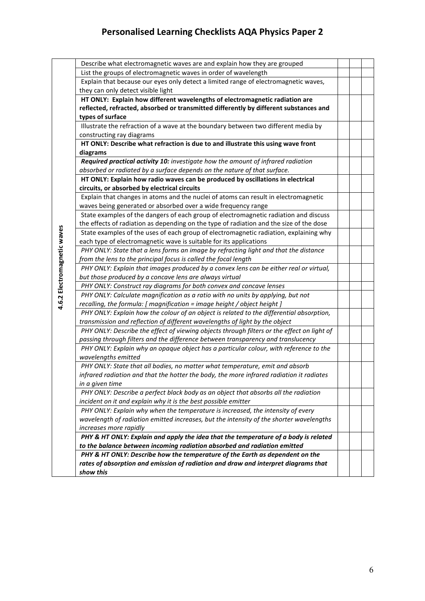|                             | Describe what electromagnetic waves are and explain how they are grouped                                                                                 |  |  |
|-----------------------------|----------------------------------------------------------------------------------------------------------------------------------------------------------|--|--|
|                             | List the groups of electromagnetic waves in order of wavelength                                                                                          |  |  |
|                             | Explain that because our eyes only detect a limited range of electromagnetic waves,                                                                      |  |  |
|                             | they can only detect visible light                                                                                                                       |  |  |
|                             | HT ONLY: Explain how different wavelengths of electromagnetic radiation are                                                                              |  |  |
|                             | reflected, refracted, absorbed or transmitted differently by different substances and                                                                    |  |  |
|                             | types of surface                                                                                                                                         |  |  |
|                             | Illustrate the refraction of a wave at the boundary between two different media by                                                                       |  |  |
|                             | constructing ray diagrams                                                                                                                                |  |  |
|                             | HT ONLY: Describe what refraction is due to and illustrate this using wave front                                                                         |  |  |
|                             | diagrams                                                                                                                                                 |  |  |
|                             | Required practical activity 10: investigate how the amount of infrared radiation                                                                         |  |  |
|                             | absorbed or radiated by a surface depends on the nature of that surface.                                                                                 |  |  |
|                             | HT ONLY: Explain how radio waves can be produced by oscillations in electrical                                                                           |  |  |
|                             | circuits, or absorbed by electrical circuits                                                                                                             |  |  |
|                             | Explain that changes in atoms and the nuclei of atoms can result in electromagnetic<br>waves being generated or absorbed over a wide frequency range     |  |  |
|                             | State examples of the dangers of each group of electromagnetic radiation and discuss                                                                     |  |  |
|                             | the effects of radiation as depending on the type of radiation and the size of the dose                                                                  |  |  |
|                             | State examples of the uses of each group of electromagnetic radiation, explaining why                                                                    |  |  |
|                             | each type of electromagnetic wave is suitable for its applications                                                                                       |  |  |
|                             | PHY ONLY: State that a lens forms an image by refracting light and that the distance                                                                     |  |  |
|                             | from the lens to the principal focus is called the focal length                                                                                          |  |  |
|                             | PHY ONLY: Explain that images produced by a convex lens can be either real or virtual,                                                                   |  |  |
|                             | but those produced by a concave lens are always virtual                                                                                                  |  |  |
| 4.6.2 Electromagnetic waves | PHY ONLY: Construct ray diagrams for both convex and concave lenses                                                                                      |  |  |
|                             | PHY ONLY: Calculate magnification as a ratio with no units by applying, but not                                                                          |  |  |
|                             | recalling, the formula: [ magnification = image height / object height ]                                                                                 |  |  |
|                             | PHY ONLY: Explain how the colour of an object is related to the differential absorption,                                                                 |  |  |
|                             | transmission and reflection of different wavelengths of light by the object                                                                              |  |  |
|                             | PHY ONLY: Describe the effect of viewing objects through filters or the effect on light of                                                               |  |  |
|                             | passing through filters and the difference between transparency and translucency                                                                         |  |  |
|                             | PHY ONLY: Explain why an opaque object has a particular colour, with reference to the                                                                    |  |  |
|                             | wavelengths emitted                                                                                                                                      |  |  |
|                             | PHY ONLY: State that all bodies, no matter what temperature, emit and absorb                                                                             |  |  |
|                             | infrared radiation and that the hotter the body, the more infrared radiation it radiates                                                                 |  |  |
|                             | in a given time                                                                                                                                          |  |  |
|                             | PHY ONLY: Describe a perfect black body as an object that absorbs all the radiation                                                                      |  |  |
|                             | incident on it and explain why it is the best possible emitter                                                                                           |  |  |
|                             | PHY ONLY: Explain why when the temperature is increased, the intensity of every                                                                          |  |  |
|                             | wavelength of radiation emitted increases, but the intensity of the shorter wavelengths                                                                  |  |  |
|                             | increases more rapidly                                                                                                                                   |  |  |
|                             | PHY & HT ONLY: Explain and apply the idea that the temperature of a body is related                                                                      |  |  |
|                             | to the balance between incoming radiation absorbed and radiation emitted<br>PHY & HT ONLY: Describe how the temperature of the Earth as dependent on the |  |  |
|                             | rates of absorption and emission of radiation and draw and interpret diagrams that                                                                       |  |  |
|                             | show this                                                                                                                                                |  |  |
|                             |                                                                                                                                                          |  |  |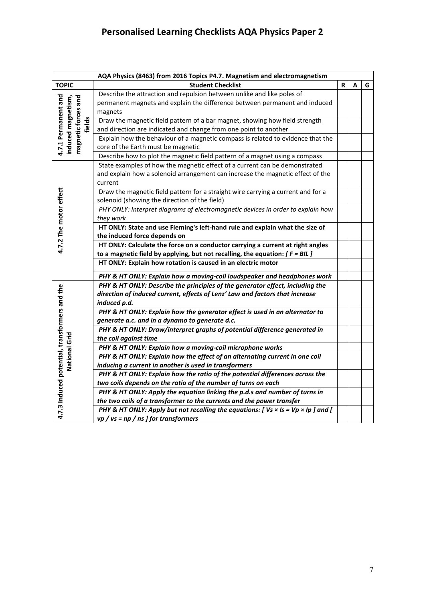|                                                  | AQA Physics (8463) from 2016 Topics P4.7. Magnetism and electromagnetism                                                                                                      |   |   |   |
|--------------------------------------------------|-------------------------------------------------------------------------------------------------------------------------------------------------------------------------------|---|---|---|
| <b>TOPIC</b>                                     | <b>Student Checklist</b>                                                                                                                                                      | R | A | G |
| 4.7.1 Permanent and<br>induced magnetism,<br>and | Describe the attraction and repulsion between unlike and like poles of<br>permanent magnets and explain the difference between permanent and induced<br>magnets               |   |   |   |
| magnetic forces<br>fields                        | Draw the magnetic field pattern of a bar magnet, showing how field strength<br>and direction are indicated and change from one point to another                               |   |   |   |
|                                                  | Explain how the behaviour of a magnetic compass is related to evidence that the<br>core of the Earth must be magnetic                                                         |   |   |   |
|                                                  | Describe how to plot the magnetic field pattern of a magnet using a compass                                                                                                   |   |   |   |
|                                                  | State examples of how the magnetic effect of a current can be demonstrated<br>and explain how a solenoid arrangement can increase the magnetic effect of the<br>current       |   |   |   |
| 4.7.2 The motor effect                           | Draw the magnetic field pattern for a straight wire carrying a current and for a<br>solenoid (showing the direction of the field)                                             |   |   |   |
|                                                  | PHY ONLY: Interpret diagrams of electromagnetic devices in order to explain how<br>they work                                                                                  |   |   |   |
|                                                  | HT ONLY: State and use Fleming's left-hand rule and explain what the size of<br>the induced force depends on                                                                  |   |   |   |
|                                                  | HT ONLY: Calculate the force on a conductor carrying a current at right angles<br>to a magnetic field by applying, but not recalling, the equation: $[ F = BIL ]$             |   |   |   |
|                                                  | HT ONLY: Explain how rotation is caused in an electric motor                                                                                                                  |   |   |   |
|                                                  | PHY & HT ONLY: Explain how a moving-coil loudspeaker and headphones work                                                                                                      |   |   |   |
| 4.7.3 Induced potential, transformers and the    | PHY & HT ONLY: Describe the principles of the generator effect, including the<br>direction of induced current, effects of Lenz' Law and factors that increase<br>induced p.d. |   |   |   |
|                                                  | PHY & HT ONLY: Explain how the generator effect is used in an alternator to<br>generate a.c. and in a dynamo to generate d.c.                                                 |   |   |   |
|                                                  | PHY & HT ONLY: Draw/interpret graphs of potential difference generated in<br>the coil against time                                                                            |   |   |   |
|                                                  | PHY & HT ONLY: Explain how a moving-coil microphone works                                                                                                                     |   |   |   |
| National Grid                                    | PHY & HT ONLY: Explain how the effect of an alternating current in one coil                                                                                                   |   |   |   |
|                                                  | inducing a current in another is used in transformers                                                                                                                         |   |   |   |
|                                                  | PHY & HT ONLY: Explain how the ratio of the potential differences across the                                                                                                  |   |   |   |
|                                                  | two coils depends on the ratio of the number of turns on each                                                                                                                 |   |   |   |
|                                                  | PHY & HT ONLY: Apply the equation linking the p.d.s and number of turns in                                                                                                    |   |   |   |
|                                                  | the two coils of a transformer to the currents and the power transfer<br>PHY & HT ONLY: Apply but not recalling the equations: $[Vs \times ls = Vp \times lp$ ] and $[$       |   |   |   |
|                                                  | $vp$ / vs = np / ns ] for transformers                                                                                                                                        |   |   |   |